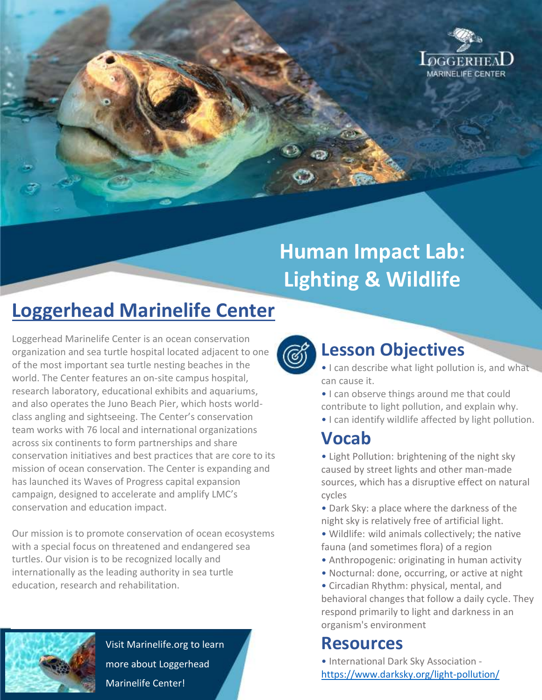

# **Human Impact Lab: Lighting & Wildlife**

# **Loggerhead Marinelife Center**

Loggerhead Marinelife Center is an ocean conservation organization and sea turtle hospital located adjacent to one of the most important sea turtle nesting beaches in the world. The Center features an on-site campus hospital, research laboratory, educational exhibits and aquariums, and also operates the Juno Beach Pier, which hosts worldclass angling and sightseeing. The Center's conservation team works with 76 local and international organizations across six continents to form partnerships and share conservation initiatives and best practices that are core to its mission of ocean conservation. The Center is expanding and has launched its Waves of Progress capital expansion campaign, designed to accelerate and amplify LMC's conservation and education impact.

Our mission is to promote conservation of ocean ecosystems with a special focus on threatened and endangered sea turtles. Our vision is to be recognized locally and internationally as the leading authority in sea turtle education, research and rehabilitation.



Visit Marinelife.org to learn more about Loggerhead Marinelife Center!



## **Lesson Objectives**

- I can describe what light pollution is, and what can cause it.
- I can observe things around me that could contribute to light pollution, and explain why.
- I can identify wildlife affected by light pollution.

#### **Vocab**

- Light Pollution: brightening of the night sky caused by street lights and other man-made sources, which has a disruptive effect on natural cycles
- Dark Sky: a place where the darkness of the night sky is relatively free of artificial light.
- Wildlife: wild animals collectively; the native fauna (and sometimes flora) of a region
- Anthropogenic: originating in human activity
- Nocturnal: done, occurring, or active at night
- Circadian Rhythm: physical, mental, and behavioral changes that follow a daily cycle. They respond primarily to light and darkness in an organism's environment

## **Resources**

• International Dark Sky Association <https://www.darksky.org/light-pollution/>